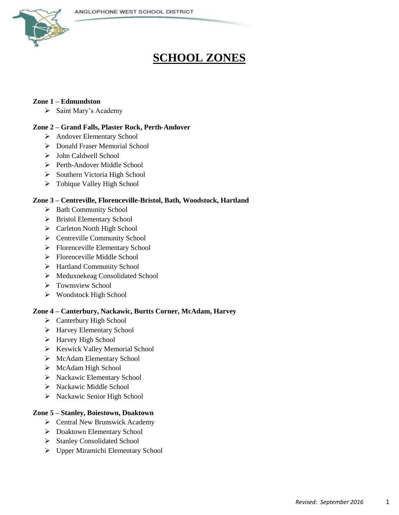

# **SCHOOL ZONES**

# **Zone 1 – Edmundston**

 $\triangleright$  Saint Mary's Academy

## **Zone 2 – Grand Falls, Plaster Rock, Perth-Andover**

- > Andover Elementary School
- > Donald Fraser Memorial School
- > John Caldwell School
- Perth-Andover Middle School
- $\triangleright$  Southern Victoria High School
- > Tobique Valley High School

## **Zone 3 – Centreville, Florenceville-Bristol, Bath, Woodstock, Hartland**

- > Bath Community School
- > Bristol Elementary School
- > Carleton North High School
- ▶ Centreville Community School
- Florenceville Elementary School
- Florenceville Middle School
- > Hartland Community School
- > Meduxnekeag Consolidated School
- $\triangleright$  Townsview School
- Woodstock High School

#### **Zone 4 – Canterbury, Nackawic, Burtts Corner, McAdam, Harvey**

- Canterbury High School
- ▶ Harvey Elementary School
- > Harvey High School
- $\triangleright$  Keswick Valley Memorial School
- ▶ McAdam Elementary School
- $\triangleright$  McAdam High School
- > Nackawic Elementary School
- > Nackawic Middle School
- > Nackawic Senior High School

#### **Zone 5 – Stanley, Boiestown, Doaktown**

- $\triangleright$  Central New Brunswick Academy
- Doaktown Elementary School
- $\triangleright$  Stanley Consolidated School
- Upper Miramichi Elementary School